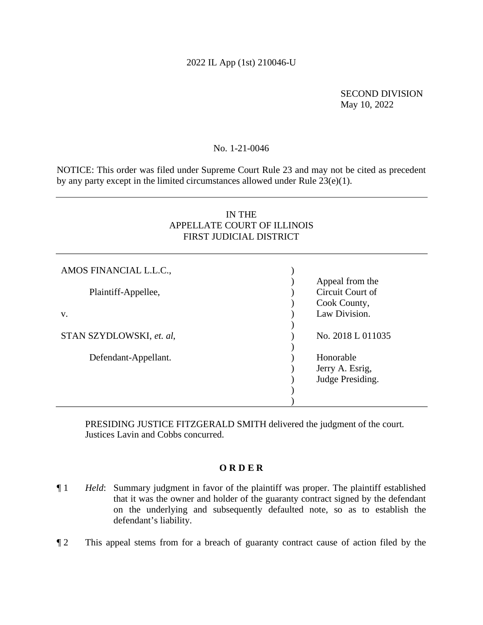# 2022 IL App (1st) 210046-U

SECOND DIVISION May 10, 2022

## No. 1-21-0046

NOTICE: This order was filed under Supreme Court Rule 23 and may not be cited as precedent by any party except in the limited circumstances allowed under Rule 23(e)(1).

## IN THE APPELLATE COURT OF ILLINOIS FIRST JUDICIAL DISTRICT

| AMOS FINANCIAL L.L.C.,   |                   |
|--------------------------|-------------------|
|                          | Appeal from the   |
| Plaintiff-Appellee,      | Circuit Court of  |
|                          | Cook County,      |
| V.                       | Law Division.     |
|                          |                   |
| STAN SZYDLOWSKI, et. al, | No. 2018 L 011035 |
|                          |                   |
| Defendant-Appellant.     | Honorable         |
|                          | Jerry A. Esrig,   |
|                          | Judge Presiding.  |
|                          |                   |
|                          |                   |

PRESIDING JUSTICE FITZGERALD SMITH delivered the judgment of the court. Justices Lavin and Cobbs concurred.

## **O R D E R**

- ¶ 1 *Held*: Summary judgment in favor of the plaintiff was proper. The plaintiff established that it was the owner and holder of the guaranty contract signed by the defendant on the underlying and subsequently defaulted note, so as to establish the defendant's liability.
- ¶ 2 This appeal stems from for a breach of guaranty contract cause of action filed by the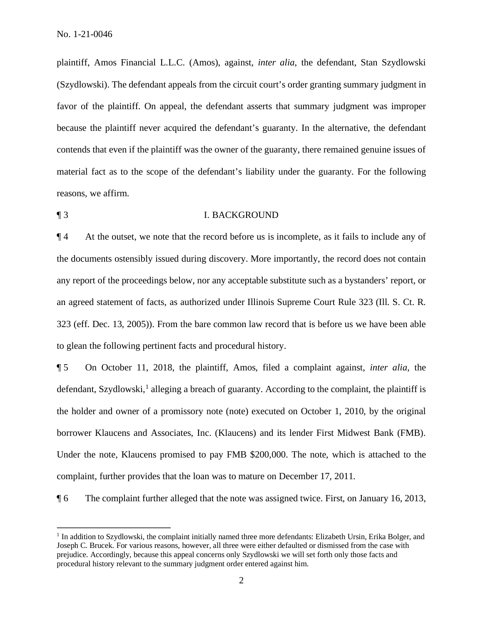plaintiff, Amos Financial L.L.C. (Amos), against, *inter alia*, the defendant, Stan Szydlowski (Szydlowski). The defendant appeals from the circuit court's order granting summary judgment in favor of the plaintiff. On appeal, the defendant asserts that summary judgment was improper because the plaintiff never acquired the defendant's guaranty. In the alternative, the defendant contends that even if the plaintiff was the owner of the guaranty, there remained genuine issues of material fact as to the scope of the defendant's liability under the guaranty. For the following reasons, we affirm.

¶ 3 I. BACKGROUND

¶ 4 At the outset, we note that the record before us is incomplete, as it fails to include any of the documents ostensibly issued during discovery. More importantly, the record does not contain any report of the proceedings below, nor any acceptable substitute such as a bystanders' report, or an agreed statement of facts, as authorized under Illinois Supreme Court Rule 323 (Ill. S. Ct. R. 323 (eff. Dec. 13, 2005)). From the bare common law record that is before us we have been able to glean the following pertinent facts and procedural history.

¶ 5 On October 11, 2018, the plaintiff, Amos, filed a complaint against, *inter alia*, the defendant, Szydlowski, $<sup>1</sup>$  alleging a breach of guaranty. According to the complaint, the plaintiff is</sup> the holder and owner of a promissory note (note) executed on October 1, 2010, by the original borrower Klaucens and Associates, Inc. (Klaucens) and its lender First Midwest Bank (FMB). Under the note, Klaucens promised to pay FMB \$200,000. The note, which is attached to the complaint, further provides that the loan was to mature on December 17, 2011.

¶ 6 The complaint further alleged that the note was assigned twice. First, on January 16, 2013,

<sup>&</sup>lt;sup>1</sup> In addition to Szydlowski, the complaint initially named three more defendants: Elizabeth Ursin, Erika Bolger, and Joseph C. Brucek. For various reasons, however, all three were either defaulted or dismissed from the case with prejudice. Accordingly, because this appeal concerns only Szydlowski we will set forth only those facts and procedural history relevant to the summary judgment order entered against him.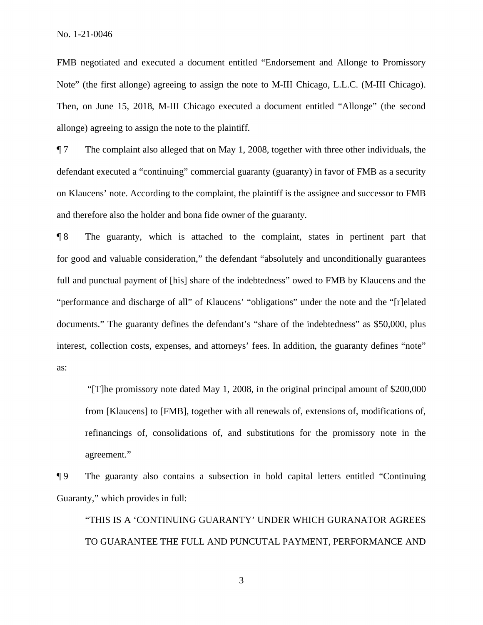FMB negotiated and executed a document entitled "Endorsement and Allonge to Promissory Note" (the first allonge) agreeing to assign the note to M-III Chicago, L.L.C. (M-III Chicago). Then, on June 15, 2018, M-III Chicago executed a document entitled "Allonge" (the second allonge) agreeing to assign the note to the plaintiff.

¶ 7 The complaint also alleged that on May 1, 2008, together with three other individuals, the defendant executed a "continuing" commercial guaranty (guaranty) in favor of FMB as a security on Klaucens' note. According to the complaint, the plaintiff is the assignee and successor to FMB and therefore also the holder and bona fide owner of the guaranty.

¶ 8 The guaranty, which is attached to the complaint, states in pertinent part that for good and valuable consideration," the defendant "absolutely and unconditionally guarantees full and punctual payment of [his] share of the indebtedness" owed to FMB by Klaucens and the "performance and discharge of all" of Klaucens' "obligations" under the note and the "[r]elated documents." The guaranty defines the defendant's "share of the indebtedness" as \$50,000, plus interest, collection costs, expenses, and attorneys' fees. In addition, the guaranty defines "note" as:

"[T]he promissory note dated May 1, 2008, in the original principal amount of \$200,000 from [Klaucens] to [FMB], together with all renewals of, extensions of, modifications of, refinancings of, consolidations of, and substitutions for the promissory note in the agreement."

¶ 9 The guaranty also contains a subsection in bold capital letters entitled "Continuing Guaranty," which provides in full:

"THIS IS A 'CONTINUING GUARANTY' UNDER WHICH GURANATOR AGREES TO GUARANTEE THE FULL AND PUNCUTAL PAYMENT, PERFORMANCE AND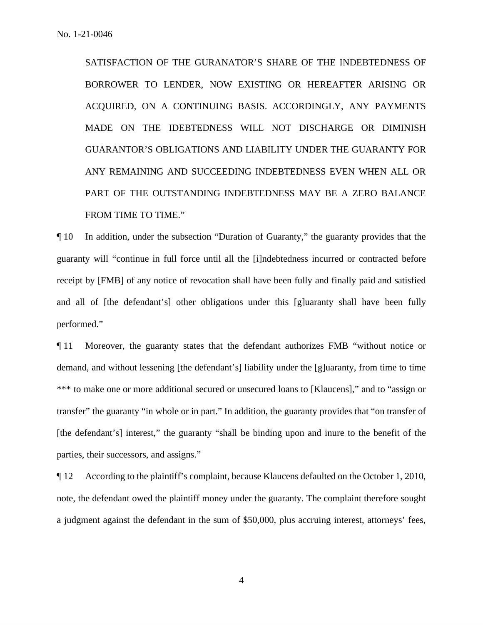SATISFACTION OF THE GURANATOR'S SHARE OF THE INDEBTEDNESS OF BORROWER TO LENDER, NOW EXISTING OR HEREAFTER ARISING OR ACQUIRED, ON A CONTINUING BASIS. ACCORDINGLY, ANY PAYMENTS MADE ON THE IDEBTEDNESS WILL NOT DISCHARGE OR DIMINISH GUARANTOR'S OBLIGATIONS AND LIABILITY UNDER THE GUARANTY FOR ANY REMAINING AND SUCCEEDING INDEBTEDNESS EVEN WHEN ALL OR PART OF THE OUTSTANDING INDEBTEDNESS MAY BE A ZERO BALANCE FROM TIME TO TIME."

¶ 10 In addition, under the subsection "Duration of Guaranty," the guaranty provides that the guaranty will "continue in full force until all the [i]ndebtedness incurred or contracted before receipt by [FMB] of any notice of revocation shall have been fully and finally paid and satisfied and all of [the defendant's] other obligations under this [g]uaranty shall have been fully performed."

¶ 11 Moreover, the guaranty states that the defendant authorizes FMB "without notice or demand, and without lessening [the defendant's] liability under the [g]uaranty, from time to time \*\*\* to make one or more additional secured or unsecured loans to [Klaucens]," and to "assign or transfer" the guaranty "in whole or in part." In addition, the guaranty provides that "on transfer of [the defendant's] interest," the guaranty "shall be binding upon and inure to the benefit of the parties, their successors, and assigns."

¶ 12 According to the plaintiff's complaint, because Klaucens defaulted on the October 1, 2010, note, the defendant owed the plaintiff money under the guaranty. The complaint therefore sought a judgment against the defendant in the sum of \$50,000, plus accruing interest, attorneys' fees,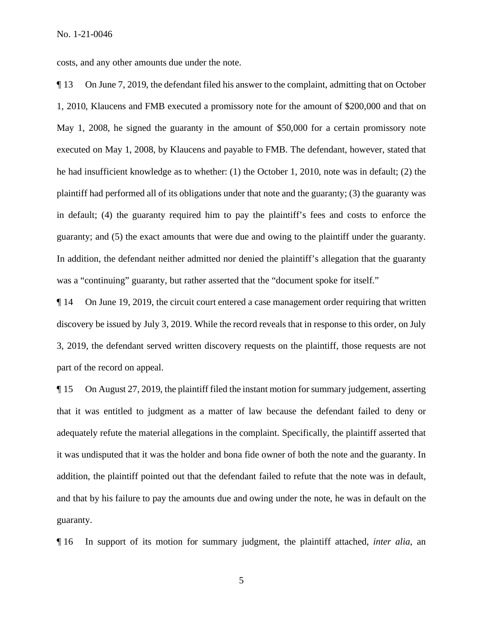costs, and any other amounts due under the note.

¶ 13 On June 7, 2019, the defendant filed his answer to the complaint, admitting that on October 1, 2010, Klaucens and FMB executed a promissory note for the amount of \$200,000 and that on May 1, 2008, he signed the guaranty in the amount of \$50,000 for a certain promissory note executed on May 1, 2008, by Klaucens and payable to FMB. The defendant, however, stated that he had insufficient knowledge as to whether: (1) the October 1, 2010, note was in default; (2) the plaintiff had performed all of its obligations under that note and the guaranty; (3) the guaranty was in default; (4) the guaranty required him to pay the plaintiff's fees and costs to enforce the guaranty; and (5) the exact amounts that were due and owing to the plaintiff under the guaranty. In addition, the defendant neither admitted nor denied the plaintiff's allegation that the guaranty was a "continuing" guaranty, but rather asserted that the "document spoke for itself."

¶ 14 On June 19, 2019, the circuit court entered a case management order requiring that written discovery be issued by July 3, 2019. While the record reveals that in response to this order, on July 3, 2019, the defendant served written discovery requests on the plaintiff, those requests are not part of the record on appeal.

¶ 15 On August 27, 2019, the plaintiff filed the instant motion for summary judgement, asserting that it was entitled to judgment as a matter of law because the defendant failed to deny or adequately refute the material allegations in the complaint. Specifically, the plaintiff asserted that it was undisputed that it was the holder and bona fide owner of both the note and the guaranty. In addition, the plaintiff pointed out that the defendant failed to refute that the note was in default, and that by his failure to pay the amounts due and owing under the note, he was in default on the guaranty.

¶ 16 In support of its motion for summary judgment, the plaintiff attached, *inter alia*, an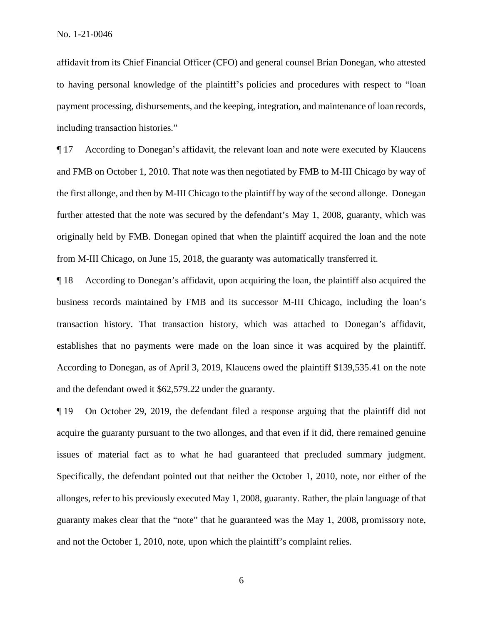affidavit from its Chief Financial Officer (CFO) and general counsel Brian Donegan, who attested to having personal knowledge of the plaintiff's policies and procedures with respect to "loan payment processing, disbursements, and the keeping, integration, and maintenance of loan records, including transaction histories."

¶ 17 According to Donegan's affidavit, the relevant loan and note were executed by Klaucens and FMB on October 1, 2010. That note was then negotiated by FMB to M-III Chicago by way of the first allonge, and then by M-III Chicago to the plaintiff by way of the second allonge. Donegan further attested that the note was secured by the defendant's May 1, 2008, guaranty, which was originally held by FMB. Donegan opined that when the plaintiff acquired the loan and the note from M-III Chicago, on June 15, 2018, the guaranty was automatically transferred it.

¶ 18 According to Donegan's affidavit, upon acquiring the loan, the plaintiff also acquired the business records maintained by FMB and its successor M-III Chicago, including the loan's transaction history. That transaction history, which was attached to Donegan's affidavit, establishes that no payments were made on the loan since it was acquired by the plaintiff. According to Donegan, as of April 3, 2019, Klaucens owed the plaintiff \$139,535.41 on the note and the defendant owed it \$62,579.22 under the guaranty.

¶ 19 On October 29, 2019, the defendant filed a response arguing that the plaintiff did not acquire the guaranty pursuant to the two allonges, and that even if it did, there remained genuine issues of material fact as to what he had guaranteed that precluded summary judgment. Specifically, the defendant pointed out that neither the October 1, 2010, note, nor either of the allonges, refer to his previously executed May 1, 2008, guaranty. Rather, the plain language of that guaranty makes clear that the "note" that he guaranteed was the May 1, 2008, promissory note, and not the October 1, 2010, note, upon which the plaintiff's complaint relies.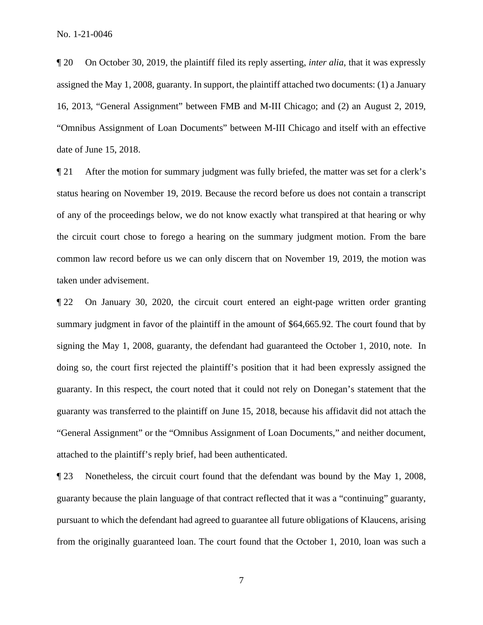¶ 20 On October 30, 2019, the plaintiff filed its reply asserting, *inter alia*, that it was expressly assigned the May 1, 2008, guaranty. In support, the plaintiff attached two documents: (1) a January 16, 2013, "General Assignment" between FMB and M-III Chicago; and (2) an August 2, 2019, "Omnibus Assignment of Loan Documents" between M-III Chicago and itself with an effective date of June 15, 2018.

¶ 21 After the motion for summary judgment was fully briefed, the matter was set for a clerk's status hearing on November 19, 2019. Because the record before us does not contain a transcript of any of the proceedings below, we do not know exactly what transpired at that hearing or why the circuit court chose to forego a hearing on the summary judgment motion. From the bare common law record before us we can only discern that on November 19, 2019, the motion was taken under advisement.

¶ 22 On January 30, 2020, the circuit court entered an eight-page written order granting summary judgment in favor of the plaintiff in the amount of \$64,665.92. The court found that by signing the May 1, 2008, guaranty, the defendant had guaranteed the October 1, 2010, note. In doing so, the court first rejected the plaintiff's position that it had been expressly assigned the guaranty. In this respect, the court noted that it could not rely on Donegan's statement that the guaranty was transferred to the plaintiff on June 15, 2018, because his affidavit did not attach the "General Assignment" or the "Omnibus Assignment of Loan Documents," and neither document, attached to the plaintiff's reply brief, had been authenticated.

¶ 23 Nonetheless, the circuit court found that the defendant was bound by the May 1, 2008, guaranty because the plain language of that contract reflected that it was a "continuing" guaranty, pursuant to which the defendant had agreed to guarantee all future obligations of Klaucens, arising from the originally guaranteed loan. The court found that the October 1, 2010, loan was such a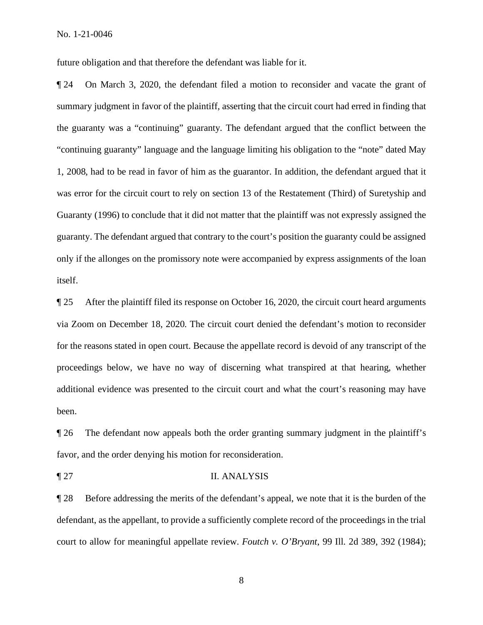future obligation and that therefore the defendant was liable for it.

¶ 24 On March 3, 2020, the defendant filed a motion to reconsider and vacate the grant of summary judgment in favor of the plaintiff, asserting that the circuit court had erred in finding that the guaranty was a "continuing" guaranty. The defendant argued that the conflict between the "continuing guaranty" language and the language limiting his obligation to the "note" dated May 1, 2008, had to be read in favor of him as the guarantor. In addition, the defendant argued that it was error for the circuit court to rely on section 13 of the Restatement (Third) of Suretyship and Guaranty (1996) to conclude that it did not matter that the plaintiff was not expressly assigned the guaranty. The defendant argued that contrary to the court's position the guaranty could be assigned only if the allonges on the promissory note were accompanied by express assignments of the loan itself.

¶ 25 After the plaintiff filed its response on October 16, 2020, the circuit court heard arguments via Zoom on December 18, 2020. The circuit court denied the defendant's motion to reconsider for the reasons stated in open court. Because the appellate record is devoid of any transcript of the proceedings below, we have no way of discerning what transpired at that hearing, whether additional evidence was presented to the circuit court and what the court's reasoning may have been.

¶ 26 The defendant now appeals both the order granting summary judgment in the plaintiff's favor, and the order denying his motion for reconsideration.

### ¶ 27 II. ANALYSIS

¶ 28 Before addressing the merits of the defendant's appeal, we note that it is the burden of the defendant, as the appellant, to provide a sufficiently complete record of the proceedings in the trial court to allow for meaningful appellate review. *Foutch v. O'Bryant*, 99 Ill. 2d 389, 392 (1984);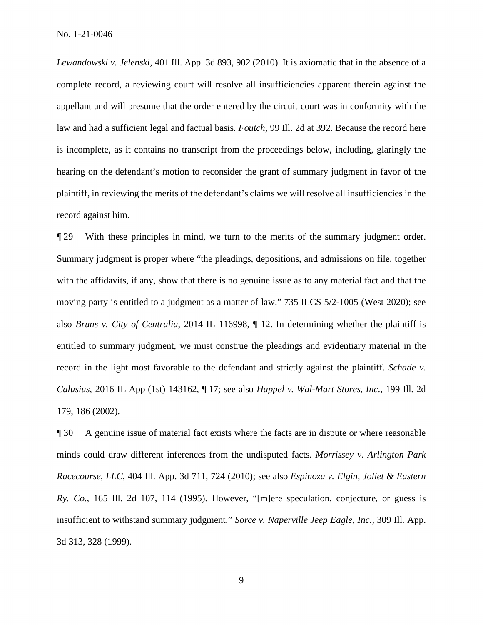No. 1-21-0046

*Lewandowski v. Jelenski*, 401 Ill. App. 3d 893, 902 (2010). It is axiomatic that in the absence of a complete record, a reviewing court will resolve all insufficiencies apparent therein against the appellant and will presume that the order entered by the circuit court was in conformity with the law and had a sufficient legal and factual basis. *Foutch*, 99 Ill. 2d at 392. Because the record here is incomplete, as it contains no transcript from the proceedings below, including, glaringly the hearing on the defendant's motion to reconsider the grant of summary judgment in favor of the plaintiff, in reviewing the merits of the defendant's claims we will resolve all insufficiencies in the record against him.

¶ 29 With these principles in mind, we turn to the merits of the summary judgment order. Summary judgment is proper where "the pleadings, depositions, and admissions on file, together with the affidavits, if any, show that there is no genuine issue as to any material fact and that the moving party is entitled to a judgment as a matter of law." 735 ILCS 5/2-1005 (West 2020); see also *Bruns v. City of Centralia*, 2014 IL 116998, ¶ 12. In determining whether the plaintiff is entitled to summary judgment, we must construe the pleadings and evidentiary material in the record in the light most favorable to the defendant and strictly against the plaintiff. *Schade v. Calusius*, 2016 IL App (1st) 143162, ¶ 17; see also *Happel v. Wal-Mart Stores, Inc*., 199 Ill. 2d 179, 186 (2002).

¶ 30 A genuine issue of material fact exists where the facts are in dispute or where reasonable minds could draw different inferences from the undisputed facts. *Morrissey v. Arlington Park Racecourse*, *LLC*, 404 Ill. App. 3d 711, 724 (2010); see also *Espinoza v. Elgin, Joliet & Eastern Ry. Co*., 165 Ill. 2d 107, 114 (1995). However, "[m]ere speculation, conjecture, or guess is insufficient to withstand summary judgment." *Sorce v. Naperville Jeep Eagle, Inc.,* 309 Ill. App. 3d 313, 328 (1999).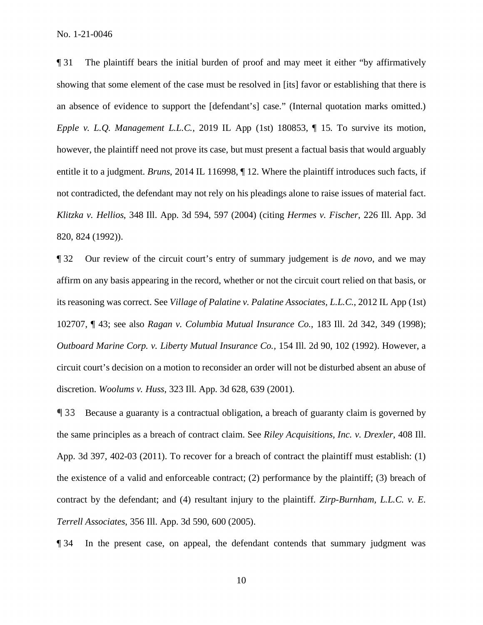¶ 31 The plaintiff bears the initial burden of proof and may meet it either "by affirmatively showing that some element of the case must be resolved in [its] favor or establishing that there is an absence of evidence to support the [defendant's] case." (Internal quotation marks omitted.) *Epple v. L.Q. Management L.L.C.*, 2019 IL App (1st) 180853, ¶ 15. To survive its motion, however, the plaintiff need not prove its case, but must present a factual basis that would arguably entitle it to a judgment. *Bruns*, 2014 IL 116998, ¶ 12. Where the plaintiff introduces such facts, if not contradicted, the defendant may not rely on his pleadings alone to raise issues of material fact. *Klitzka v. Hellios*, 348 Ill. App. 3d 594, 597 (2004) (citing *Hermes v. Fischer*, 226 Ill. App. 3d 820, 824 (1992)).

¶ 32 Our review of the circuit court's entry of summary judgement is *de novo*, and we may affirm on any basis appearing in the record, whether or not the circuit court relied on that basis, or its reasoning was correct. See *Village of Palatine v. Palatine Associates, L.L.C.*, 2012 IL App (1st) 102707, ¶ 43; see also *Ragan v. Columbia Mutual Insurance Co.,* 183 Ill. 2d 342, 349 (1998); *Outboard Marine Corp. v. Liberty Mutual Insurance Co.,* 154 Ill. 2d 90, 102 (1992). However, a circuit court's decision on a motion to reconsider an order will not be disturbed absent an abuse of discretion. *Woolums v. Huss*, 323 Ill. App. 3d 628, 639 (2001).

¶ 33 Because a guaranty is a contractual obligation, a breach of guaranty claim is governed by the same principles as a breach of contract claim. See *Riley Acquisitions, Inc. v. Drexler*, 408 Ill. App. 3d 397, 402-03 (2011). To recover for a breach of contract the plaintiff must establish: (1) the existence of a valid and enforceable contract; (2) performance by the plaintiff; (3) breach of contract by the defendant; and (4) resultant injury to the plaintiff. *Zirp-Burnham, L.L.C. v. E. Terrell Associates*, 356 Ill. App. 3d 590, 600 (2005).

¶ 34 In the present case, on appeal, the defendant contends that summary judgment was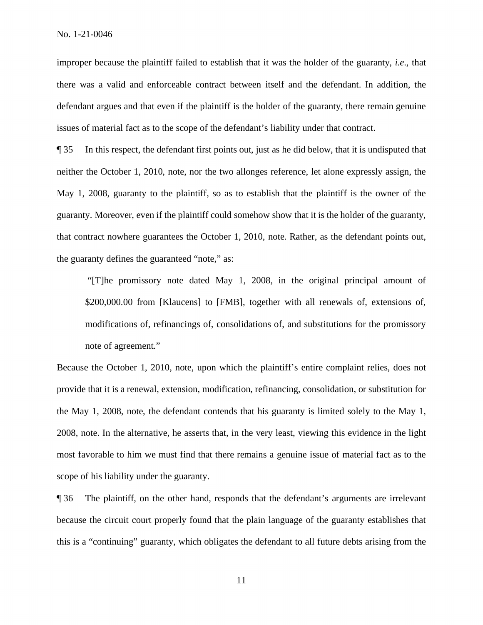improper because the plaintiff failed to establish that it was the holder of the guaranty*, i.e*., that there was a valid and enforceable contract between itself and the defendant. In addition, the defendant argues and that even if the plaintiff is the holder of the guaranty, there remain genuine issues of material fact as to the scope of the defendant's liability under that contract.

¶ 35 In this respect, the defendant first points out, just as he did below, that it is undisputed that neither the October 1, 2010, note, nor the two allonges reference, let alone expressly assign, the May 1, 2008, guaranty to the plaintiff, so as to establish that the plaintiff is the owner of the guaranty. Moreover, even if the plaintiff could somehow show that it is the holder of the guaranty, that contract nowhere guarantees the October 1, 2010, note. Rather, as the defendant points out, the guaranty defines the guaranteed "note," as:

 "[T]he promissory note dated May 1, 2008, in the original principal amount of \$200,000.00 from [Klaucens] to [FMB], together with all renewals of, extensions of, modifications of, refinancings of, consolidations of, and substitutions for the promissory note of agreement."

Because the October 1, 2010, note, upon which the plaintiff's entire complaint relies, does not provide that it is a renewal, extension, modification, refinancing, consolidation, or substitution for the May 1, 2008, note, the defendant contends that his guaranty is limited solely to the May 1, 2008, note. In the alternative, he asserts that, in the very least, viewing this evidence in the light most favorable to him we must find that there remains a genuine issue of material fact as to the scope of his liability under the guaranty.

¶ 36 The plaintiff, on the other hand, responds that the defendant's arguments are irrelevant because the circuit court properly found that the plain language of the guaranty establishes that this is a "continuing" guaranty, which obligates the defendant to all future debts arising from the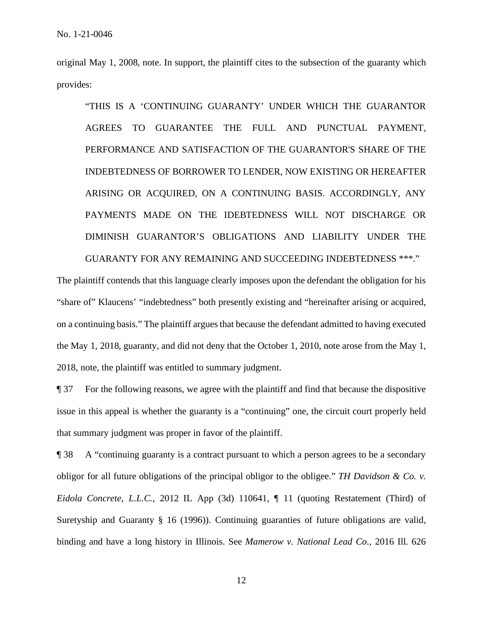original May 1, 2008, note. In support, the plaintiff cites to the subsection of the guaranty which provides:

"THIS IS A 'CONTINUING GUARANTY' UNDER WHICH THE GUARANTOR AGREES TO GUARANTEE THE FULL AND PUNCTUAL PAYMENT, PERFORMANCE AND SATISFACTION OF THE GUARANTOR'S SHARE OF THE INDEBTEDNESS OF BORROWER TO LENDER, NOW EXISTING OR HEREAFTER ARISING OR ACQUIRED, ON A CONTINUING BASIS. ACCORDINGLY, ANY PAYMENTS MADE ON THE IDEBTEDNESS WILL NOT DISCHARGE OR DIMINISH GUARANTOR'S OBLIGATIONS AND LIABILITY UNDER THE GUARANTY FOR ANY REMAINING AND SUCCEEDING INDEBTEDNESS \*\*\*."

The plaintiff contends that this language clearly imposes upon the defendant the obligation for his "share of" Klaucens' "indebtedness" both presently existing and "hereinafter arising or acquired, on a continuing basis." The plaintiff argues that because the defendant admitted to having executed the May 1, 2018, guaranty, and did not deny that the October 1, 2010, note arose from the May 1, 2018, note, the plaintiff was entitled to summary judgment.

¶ 37 For the following reasons, we agree with the plaintiff and find that because the dispositive issue in this appeal is whether the guaranty is a "continuing" one, the circuit court properly held that summary judgment was proper in favor of the plaintiff.

¶ 38 A "continuing guaranty is a contract pursuant to which a person agrees to be a secondary obligor for all future obligations of the principal obligor to the obligee." *TH Davidson & Co. v. Eidola Concrete, L.L.C.,* 2012 IL App (3d) 110641, ¶ 11 (quoting Restatement (Third) of Suretyship and Guaranty § 16 (1996)). Continuing guaranties of future obligations are valid, binding and have a long history in Illinois. See *Mamerow v. National Lead Co*., 2016 Ill. 626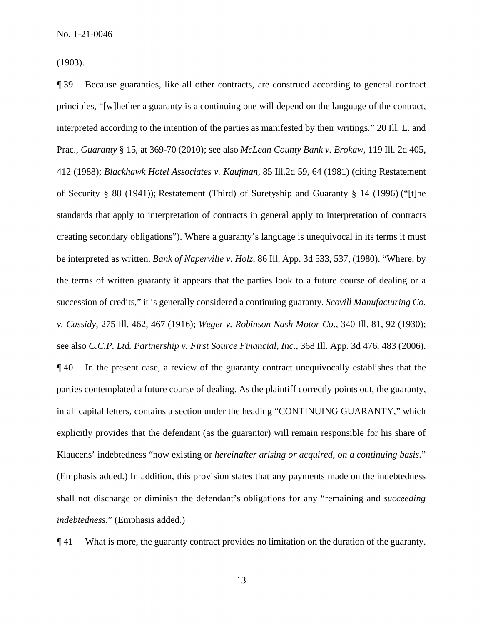(1903).

¶ 39 Because guaranties, like all other contracts, are construed according to general contract principles, "[w]hether a guaranty is a continuing one will depend on the language of the contract, interpreted according to the intention of the parties as manifested by their writings." 20 Ill. L. and Prac., *Guaranty* § 15, at 369-70 (2010); see also *McLean County Bank v. Brokaw*, 119 Ill. 2d 405, 412 (1988); *Blackhawk Hotel Associates v. Kaufman,* 85 Ill.2d 59, 64 (1981) (citing Restatement of Security § 88 (1941)); Restatement (Third) of Suretyship and Guaranty § 14 (1996) ("[t]he standards that apply to interpretation of contracts in general apply to interpretation of contracts creating secondary obligations"). Where a guaranty's language is unequivocal in its terms it must be interpreted as written. *Bank of Naperville v. Holz*, 86 Ill. App. 3d 533, 537, (1980). "Where, by the terms of written guaranty it appears that the parties look to a future course of dealing or a succession of credits," it is generally considered a continuing guaranty. *Scovill Manufacturing Co. v. Cassidy*, 275 Ill. 462, 467 (1916); *Weger v. Robinson Nash Motor Co*., 340 Ill. 81, 92 (1930); see also *C.C.P. Ltd. Partnership v. First Source Financial, Inc*., 368 Ill. App. 3d 476, 483 (2006). ¶ 40 In the present case, a review of the guaranty contract unequivocally establishes that the parties contemplated a future course of dealing. As the plaintiff correctly points out, the guaranty, in all capital letters, contains a section under the heading "CONTINUING GUARANTY," which explicitly provides that the defendant (as the guarantor) will remain responsible for his share of Klaucens' indebtedness "now existing or *hereinafter arising or acquired*, *on a continuing basis*." (Emphasis added.) In addition, this provision states that any payments made on the indebtedness shall not discharge or diminish the defendant's obligations for any "remaining and *succeeding indebtedness*." (Emphasis added.)

¶ 41 What is more, the guaranty contract provides no limitation on the duration of the guaranty.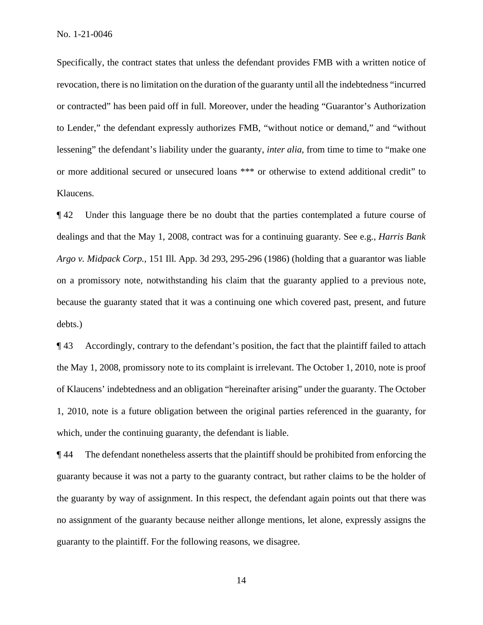Specifically, the contract states that unless the defendant provides FMB with a written notice of revocation, there is no limitation on the duration of the guaranty until all the indebtedness "incurred or contracted" has been paid off in full. Moreover, under the heading "Guarantor's Authorization to Lender," the defendant expressly authorizes FMB, "without notice or demand," and "without lessening" the defendant's liability under the guaranty, *inter alia*, from time to time to "make one or more additional secured or unsecured loans \*\*\* or otherwise to extend additional credit" to Klaucens.

¶ 42 Under this language there be no doubt that the parties contemplated a future course of dealings and that the May 1, 2008, contract was for a continuing guaranty. See e.g., *Harris Bank Argo v. Midpack Corp.,* 151 Ill. App. 3d 293, 295-296 (1986) (holding that a guarantor was liable on a promissory note, notwithstanding his claim that the guaranty applied to a previous note, because the guaranty stated that it was a continuing one which covered past, present, and future debts.)

¶ 43 Accordingly, contrary to the defendant's position, the fact that the plaintiff failed to attach the May 1, 2008, promissory note to its complaint is irrelevant. The October 1, 2010, note is proof of Klaucens' indebtedness and an obligation "hereinafter arising" under the guaranty. The October 1, 2010, note is a future obligation between the original parties referenced in the guaranty, for which, under the continuing guaranty, the defendant is liable.

¶ 44 The defendant nonetheless asserts that the plaintiff should be prohibited from enforcing the guaranty because it was not a party to the guaranty contract, but rather claims to be the holder of the guaranty by way of assignment. In this respect, the defendant again points out that there was no assignment of the guaranty because neither allonge mentions, let alone, expressly assigns the guaranty to the plaintiff. For the following reasons, we disagree.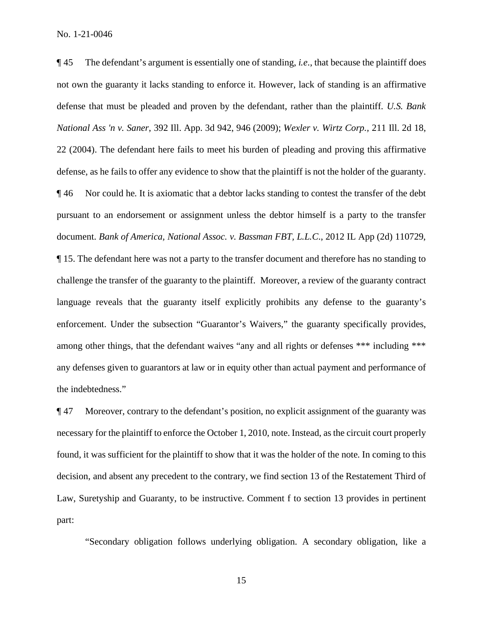¶ 45 The defendant's argument is essentially one of standing, *i.e*., that because the plaintiff does not own the guaranty it lacks standing to enforce it. However, lack of standing is an affirmative defense that must be pleaded and proven by the defendant, rather than the plaintiff. *U.S. Bank National Ass 'n v. Saner*, 392 Ill. App. 3d 942, 946 (2009); *Wexler v. Wirtz Corp.,* 211 Ill. 2d 18, 22 (2004). The defendant here fails to meet his burden of pleading and proving this affirmative defense, as he fails to offer any evidence to show that the plaintiff is not the holder of the guaranty. ¶ 46 Nor could he. It is axiomatic that a debtor lacks standing to contest the transfer of the debt pursuant to an endorsement or assignment unless the debtor himself is a party to the transfer document. *Bank of America, National Assoc. v. Bassman FBT, L.L.C*., 2012 IL App (2d) 110729, ¶ 15. The defendant here was not a party to the transfer document and therefore has no standing to challenge the transfer of the guaranty to the plaintiff. Moreover, a review of the guaranty contract language reveals that the guaranty itself explicitly prohibits any defense to the guaranty's enforcement. Under the subsection "Guarantor's Waivers," the guaranty specifically provides, among other things, that the defendant waives "any and all rights or defenses \*\*\* including \*\*\* any defenses given to guarantors at law or in equity other than actual payment and performance of the indebtedness."

¶ 47 Moreover, contrary to the defendant's position, no explicit assignment of the guaranty was necessary for the plaintiff to enforce the October 1, 2010, note. Instead, as the circuit court properly found, it was sufficient for the plaintiff to show that it was the holder of the note. In coming to this decision, and absent any precedent to the contrary, we find section 13 of the Restatement Third of Law, Suretyship and Guaranty, to be instructive. Comment f to section 13 provides in pertinent part:

"Secondary obligation follows underlying obligation. A secondary obligation, like a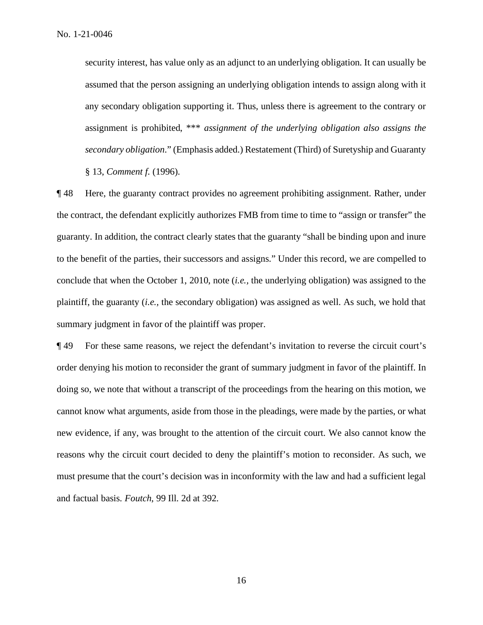security interest, has value only as an adjunct to an underlying obligation. It can usually be assumed that the person assigning an underlying obligation intends to assign along with it any secondary obligation supporting it. Thus, unless there is agreement to the contrary or assignment is prohibited, \*\*\* *assignment of the underlying obligation also assigns the secondary obligation*." (Emphasis added.) Restatement (Third) of Suretyship and Guaranty § 13, *Comment f.* (1996).

¶ 48 Here, the guaranty contract provides no agreement prohibiting assignment. Rather, under the contract, the defendant explicitly authorizes FMB from time to time to "assign or transfer" the guaranty. In addition, the contract clearly states that the guaranty "shall be binding upon and inure to the benefit of the parties, their successors and assigns." Under this record, we are compelled to conclude that when the October 1, 2010, note (*i.e.,* the underlying obligation) was assigned to the plaintiff, the guaranty (*i.e.,* the secondary obligation) was assigned as well. As such, we hold that summary judgment in favor of the plaintiff was proper.

¶ 49 For these same reasons, we reject the defendant's invitation to reverse the circuit court's order denying his motion to reconsider the grant of summary judgment in favor of the plaintiff. In doing so, we note that without a transcript of the proceedings from the hearing on this motion, we cannot know what arguments, aside from those in the pleadings, were made by the parties, or what new evidence, if any, was brought to the attention of the circuit court. We also cannot know the reasons why the circuit court decided to deny the plaintiff's motion to reconsider. As such, we must presume that the court's decision was in inconformity with the law and had a sufficient legal and factual basis. *Foutch*, 99 Ill. 2d at 392.